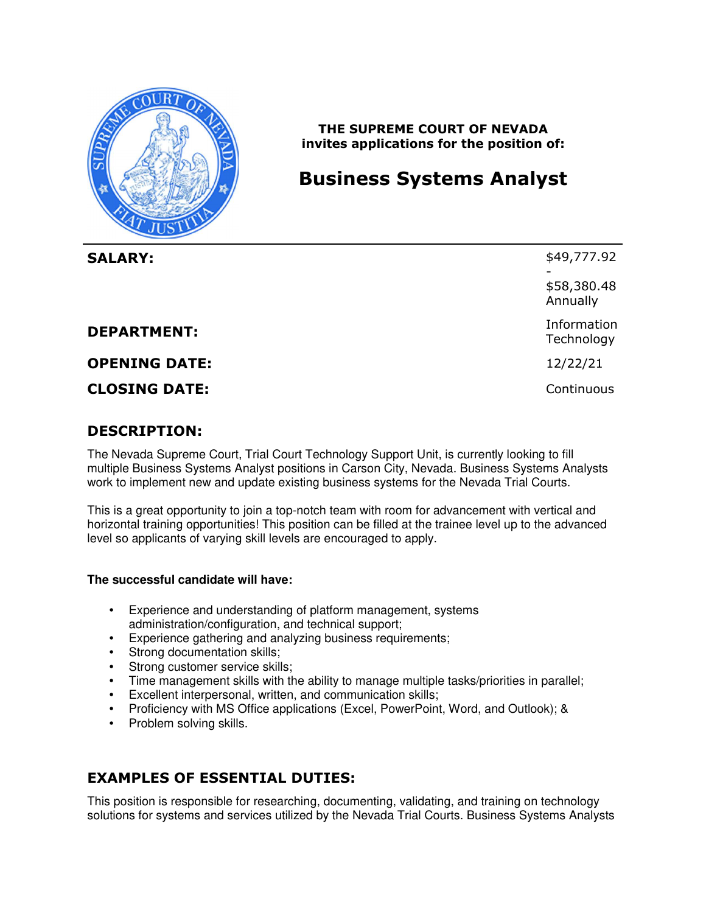

 **THE SUPREME COURT OF NEVADA invites applications for the position of:** 

# **Business Systems Analyst**

| <b>SALARY:</b>       | \$49,777.92<br>\$58,380.48<br>Annually |
|----------------------|----------------------------------------|
| <b>DEPARTMENT:</b>   | Information<br>Technology              |
| <b>OPENING DATE:</b> | 12/22/21                               |
| <b>CLOSING DATE:</b> | Continuous                             |

### **DESCRIPTION:**

 The Nevada Supreme Court, Trial Court Technology Support Unit, is currently looking to fill multiple Business Systems Analyst positions in Carson City, Nevada. Business Systems Analysts work to implement new and update existing business systems for the Nevada Trial Courts.

 This is a great opportunity to join a top-notch team with room for advancement with vertical and horizontal training opportunities! This position can be filled at the trainee level up to the advanced level so applicants of varying skill levels are encouraged to apply.

#### **The successful candidate will have:**

- • Experience and understanding of platform management, systems administration/configuration, and technical support;
- Experience gathering and analyzing business requirements;
- Strong documentation skills;
- Strong customer service skills;
- Time management skills with the ability to manage multiple tasks/priorities in parallel;
- Excellent interpersonal, written, and communication skills;
- Proficiency with MS Office applications (Excel, PowerPoint, Word, and Outlook); &
- Problem solving skills.

# **EXAMPLES OF ESSENTIAL DUTIES:**

 This position is responsible for researching, documenting, validating, and training on technology solutions for systems and services utilized by the Nevada Trial Courts. Business Systems Analysts